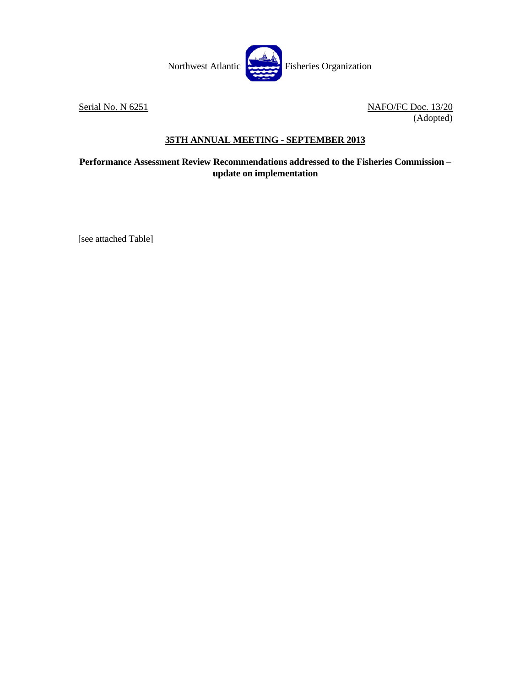

Serial No. N 6251 NAFO/FC Doc. 13/20 (Adopted)

## **35TH ANNUAL MEETING - SEPTEMBER 2013**

**Performance Assessment Review Recommendations addressed to the Fisheries Commission – update on implementation**

[see attached Table]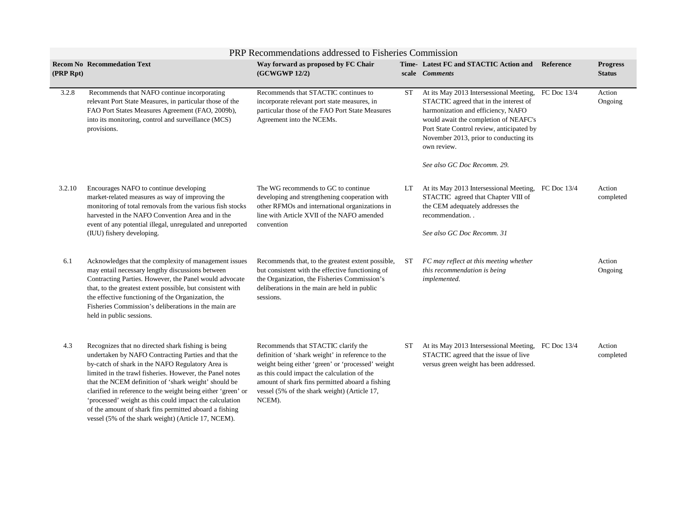| PRP Recommendations addressed to Fisheries Commission |                                                                                                                                                                                                                                                                                                                                                                                                                                                                        |                                                                                                                                                                                                                                                                                                          |           |                                                                                                                                                                                                                                                                                    |           |                                  |  |  |  |  |
|-------------------------------------------------------|------------------------------------------------------------------------------------------------------------------------------------------------------------------------------------------------------------------------------------------------------------------------------------------------------------------------------------------------------------------------------------------------------------------------------------------------------------------------|----------------------------------------------------------------------------------------------------------------------------------------------------------------------------------------------------------------------------------------------------------------------------------------------------------|-----------|------------------------------------------------------------------------------------------------------------------------------------------------------------------------------------------------------------------------------------------------------------------------------------|-----------|----------------------------------|--|--|--|--|
| (PRP Rpt)                                             | <b>Recom No Recommedation Text</b>                                                                                                                                                                                                                                                                                                                                                                                                                                     | Way forward as proposed by FC Chair<br>(GCWGWP 12/2)                                                                                                                                                                                                                                                     |           | Time-Latest FC and STACTIC Action and<br>scale <i>Comments</i>                                                                                                                                                                                                                     | Reference | <b>Progress</b><br><b>Status</b> |  |  |  |  |
| 3.2.8                                                 | Recommends that NAFO continue incorporating<br>relevant Port State Measures, in particular those of the<br>FAO Port States Measures Agreement (FAO, 2009b),<br>into its monitoring, control and surveillance (MCS)<br>provisions.                                                                                                                                                                                                                                      | Recommends that STACTIC continues to<br>incorporate relevant port state measures, in<br>particular those of the FAO Port State Measures<br>Agreement into the NCEMs.                                                                                                                                     | <b>ST</b> | At its May 2013 Intersessional Meeting, FC Doc 13/4<br>STACTIC agreed that in the interest of<br>harmonization and efficiency, NAFO<br>would await the completion of NEAFC's<br>Port State Control review, anticipated by<br>November 2013, prior to conducting its<br>own review. |           | Action<br>Ongoing                |  |  |  |  |
|                                                       |                                                                                                                                                                                                                                                                                                                                                                                                                                                                        |                                                                                                                                                                                                                                                                                                          |           | See also GC Doc Recomm. 29.                                                                                                                                                                                                                                                        |           |                                  |  |  |  |  |
| 3.2.10                                                | Encourages NAFO to continue developing<br>market-related measures as way of improving the<br>monitoring of total removals from the various fish stocks<br>harvested in the NAFO Convention Area and in the<br>event of any potential illegal, unregulated and unreported                                                                                                                                                                                               | The WG recommends to GC to continue<br>developing and strengthening cooperation with<br>other RFMOs and international organizations in<br>line with Article XVII of the NAFO amended<br>convention                                                                                                       | LT.       | At its May 2013 Intersessional Meeting, FC Doc 13/4<br>STACTIC agreed that Chapter VIII of<br>the CEM adequately addresses the<br>recommendation                                                                                                                                   |           | Action<br>completed              |  |  |  |  |
|                                                       | (IUU) fishery developing.                                                                                                                                                                                                                                                                                                                                                                                                                                              |                                                                                                                                                                                                                                                                                                          |           | See also GC Doc Recomm. 31                                                                                                                                                                                                                                                         |           |                                  |  |  |  |  |
| 6.1                                                   | Acknowledges that the complexity of management issues<br>may entail necessary lengthy discussions between<br>Contracting Parties. However, the Panel would advocate<br>that, to the greatest extent possible, but consistent with<br>the effective functioning of the Organization, the<br>Fisheries Commission's deliberations in the main are<br>held in public sessions.                                                                                            | Recommends that, to the greatest extent possible,<br>but consistent with the effective functioning of<br>the Organization, the Fisheries Commission's<br>deliberations in the main are held in public<br>sessions.                                                                                       | ST        | FC may reflect at this meeting whether<br>this recommendation is being<br>implemented.                                                                                                                                                                                             |           | Action<br>Ongoing                |  |  |  |  |
| 4.3                                                   | Recognizes that no directed shark fishing is being<br>undertaken by NAFO Contracting Parties and that the<br>by-catch of shark in the NAFO Regulatory Area is<br>limited in the trawl fisheries. However, the Panel notes<br>that the NCEM definition of 'shark weight' should be<br>clarified in reference to the weight being either 'green' or<br>'processed' weight as this could impact the calculation<br>of the amount of shark fins permitted aboard a fishing | Recommends that STACTIC clarify the<br>definition of 'shark weight' in reference to the<br>weight being either 'green' or 'processed' weight<br>as this could impact the calculation of the<br>amount of shark fins permitted aboard a fishing<br>vessel (5% of the shark weight) (Article 17,<br>NCEM). | ST        | At its May 2013 Intersessional Meeting, FC Doc 13/4<br>STACTIC agreed that the issue of live<br>versus green weight has been addressed.                                                                                                                                            |           | Action<br>completed              |  |  |  |  |

vessel (5% of the shark weight) (Article 17, NCEM).